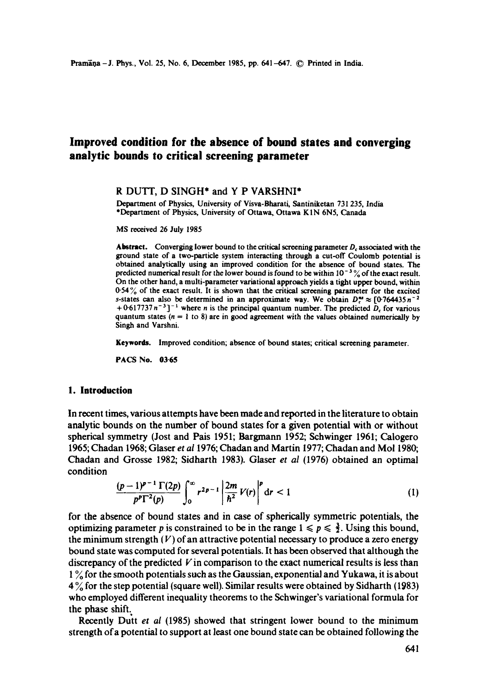# **Improved condition for the absence of bound states and converging analytic bounds to critical screening parameter**

R DUTT, D SINGH<sup>\*</sup> and Y P VARSHNI<sup>\*</sup>

Department of Physics, University of Visva-Bharati, Santiniketan 731 235, India \*Department of Physics, University of Ottawa, Ottawa K1N 6N5, Canada

MS received 26 July 1985

Abstract. Converging lower bound to the critical screening parameter  $D_c$  associated with the ground state of a two-particle system interacting through a cut-off Coulomb potential is obtained analytically using an improved condition for the absence of bound states. The predicted numerical result for the lower bound is found to be within  $10^{-3}$ % of the exact result. On the other hand, a multi-parameter variational approach yields a tight upper bound, within  $6.54\%$  of the exact result. It is shown that the critical screening parameter for the excited s-states can also be determined in an approximate way. We obtain  $D_r^m \approx [0.764435 \, n^{-2}]$  $+ 0.617737 n^{-3}$ <sup>-1</sup> where n is the principal quantum number. The predicted  $\tilde{D}_c$  for various quantum states ( $n = 1$  to 8) are in good agreement with the values obtained numerically by Singh and Varshni.

Keywords. Improved condition; absence of bound states; critical screening parameter.

**PACS No. 03-65** 

#### **1. Introduction**

In recent times, various attempts have been made and reported in the literature to obtain analytic bounds on the number of bound states for a given potential with or without spherical symmetry (Jost and Pais 1951; Bargmann 1952; Schwinger 1961; Calogero 1965; Chadan 1968; Glaser *et ai* 1976; Chadan and Martin 1977; Chadan and Mol 1980; Chadan and Grosse 1982; Sidharth 1983). Glaser *et al* (1976) obtained an optimal condition

$$
\frac{(p-1)^{p-1}\Gamma(2p)}{p^p\Gamma^2(p)}\int_0^\infty r^{2p-1}\left|\frac{2m}{h^2}V(r)\right|^p\mathrm{d}r<1\tag{1}
$$

for the absence of bound states and in case of spherically symmetric potentials, the optimizing parameter p is constrained to be in the range  $1 \leqslant p \leqslant \frac{3}{2}$ . Using this bound, the minimum strength  $(V)$  of an attractive potential necessary to produce a zero energy bound state was computed for several potentials. It has been observed that although the discrepancy of the predicted  $V$  in comparison to the exact numerical results is less than  $1\%$  for the smooth potentials such as the Gaussian, exponential and Yukawa, it is about  $4\%$  for the step potential (square well). Similar results were obtained by Sidharth (1983) who employed different inequality theorems to the Schwinger's variational formula for the phase shift.

Recently Dutt *et al* (1985) showed that stringent lower bound to the minimum strength of a potential to support at least one bound state can be obtained following the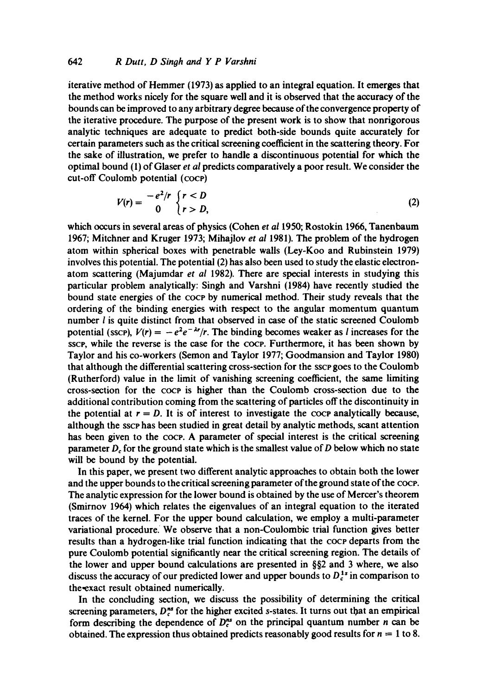iterative method of Hemmer (1973) as applied to an integral equation. It emerges that the method works nicely for the square well and it is observed that the accuracy of the bounds can be improved to any arbitrary degree because of the convergence property of the iterative procedure. The purpose of the present work is to show that nonrigorous analytic techniques are adequate to predict both-side bounds quite accurately for certain parameters such as the critical screening coefficient in the scattering theory. For the sake of illustration, we prefer to handle a discontinuous potential for which the optimal bound (1) of Glaser *et al* predicts comparatively a poor result. We consider the cut-off Coulomb potential (cocP)

$$
V(r) = \begin{cases}\n -e^2/r & \text{if } r < D \\
0 & \text{if } r > D,\n\end{cases}\n\tag{2}
$$

which occurs in several areas of physics (Cohen *et al* 1950; Rostokin 1966, Tanenbaum 1967; Mitchner and Kruger 1973; Mihajlov *et al* 1981). The problem of the hydrogen atom within spherical boxes with penetrable walls (Ley-Koo and Rubinstein 1979) involves this potential. The potential (2) has also been used to study the elastic electronatom scattering (Majumdar *et al* 1982). There are special interests in studying this particular problem analytically: Singh and Varshni (1984) have recently studied the bound state energies of the cocP by numerical method. Their study reveals that the ordering of the binding energies with respect to the angular momentum quantum number  $l$  is quite distinct from that observed in case of the static screened Coulomb potential (sscp),  $V(r) = -e^2e^{-\lambda r}/r$ . The binding becomes weaker as *l* increases for the sscp, while the reverse is the case for the cocp. Furthermore, it has been shown by Taylor and his co-workers (Semon and Taylor 1977; Goodmansion and Taylor 1980) that although the differential scattering cross-section for the sscr goes to the Coulomb (Rutherford) value in the limit of vanishing screening coefficient, the same limiting cross-section for the cocp is higher than the Coulomb cross-section due to the additional contribution coming from the scattering of particles off the discontinuity in the potential at  $r = D$ . It is of interest to investigate the cocp analytically because, although the sscP has been studied in great detail by analytic methods, scant attention has been given to the cocp. A parameter of special interest is the critical screening parameter  $D_c$  for the ground state which is the smallest value of D below which no state will be bound by the potential.

In this paper, we present two different analytic approaches to obtain both the lower and the upper bounds to the critical screening parameter of the ground state of the cocP. The analytic expression for the lower bound is obtained by the use of Mercer's theorem (Smirnov 1964) which relates the eigenvalues of an integral equation to the iterated traces of the kernel. For the upper bound calculation, we employ a multi-parameter variational procedure. We observe that a non-Couiombic trial function gives better results than a hydrogen-like trial function indicating that the cocp departs from the pure Coulomb potential significantly near the critical screening region. The details of the lower and upper bound calculations are presented in §§2 and 3 where, we also discuss the accuracy of our predicted lower and upper bounds to  $D_{\epsilon}^{1s}$  in comparison to the-exact result obtained numerically.

In the concluding section, we discuss the possibility of determining the critical screening parameters,  $D_c^{ns}$  for the higher excited s-states. It turns out that an empirical form describing the dependence of  $D_{\epsilon}^{ns}$  on the principal quantum number n can be obtained. The expression thus obtained predicts reasonably good results for  $n = 1$  to 8.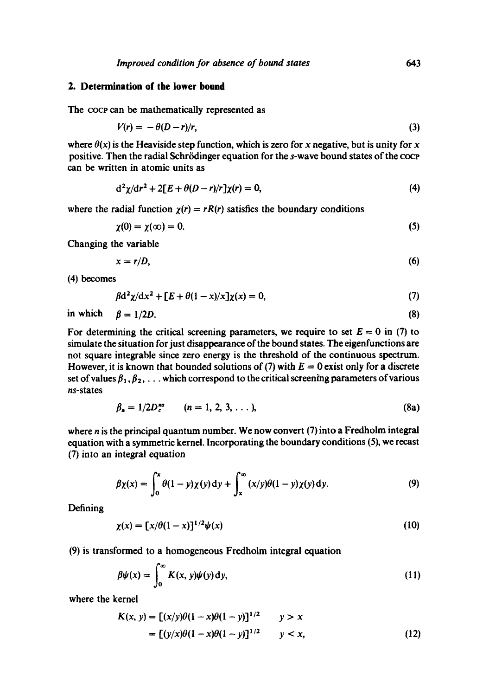## **2. Determination of the lower bound**

The cocp can be mathematically represented as

$$
V(r) = -\theta(D-r)/r, \tag{3}
$$

where  $\theta(x)$  is the Heaviside step function, which is zero for x negative, but is unity for x positive. Then the radial Schrödinger equation for the s-wave bound states of the cocp can be written in atomic units as

$$
d^{2}\chi/dr^{2} + 2[E + \theta(D-r)/r]\chi(r) = 0,
$$
\n(4)

where the radial function  $\chi(r) = rR(r)$  satisfies the boundary conditions

$$
\chi(0) = \chi(\infty) = 0. \tag{5}
$$

Changing the variable

$$
x = r/D, \tag{6}
$$

(4) becomes

$$
\beta d^2 \chi/dx^2 + [E + \theta(1-x)/x] \chi(x) = 0,
$$
\n(7)

in which  $\beta = 1/2D$ . (8)

For determining the critical screening parameters, we require to set  $E = 0$  in (7) to simulate the situation for just disappearance of the bound states. The eigenfunctions are not square integrable since zero energy is the threshold of the continuous spectrum. However, it is known that bounded solutions of (7) with  $E = 0$  exist only for a discrete set of values  $\beta_1, \beta_2, \ldots$  which correspond to the critical screening parameters of various ns-states

$$
\beta_n = 1/2D_c^{ns} \qquad (n = 1, 2, 3, ...), \qquad (8a)
$$

where  $n$  is the principal quantum number. We now convert  $(7)$  into a Fredholm integral equation with a symmetric kernel. Incorporating the boundary conditions (5), we recast (7) into an integral equation

$$
\beta \chi(x) = \int_0^x \theta(1-y)\chi(y) dy + \int_x^{\infty} (x/y)\theta(1-y)\chi(y) dy.
$$
 (9)

Defining

$$
\chi(x) = [x/\theta(1-x)]^{1/2}\psi(x)
$$
 (10)

(9) is transformed to a homogeneous Fredholm integral equation

$$
\beta\psi(x) = \int_0^\infty K(x, y)\psi(y) \,dy,\tag{11}
$$

where the kernel

$$
K(x, y) = [(x/y)\theta(1-x)\theta(1-y)]^{1/2} \qquad y > x
$$
  
= [(y/x)\theta(1-x)\theta(1-y)]^{1/2} \qquad y < x, \qquad (12)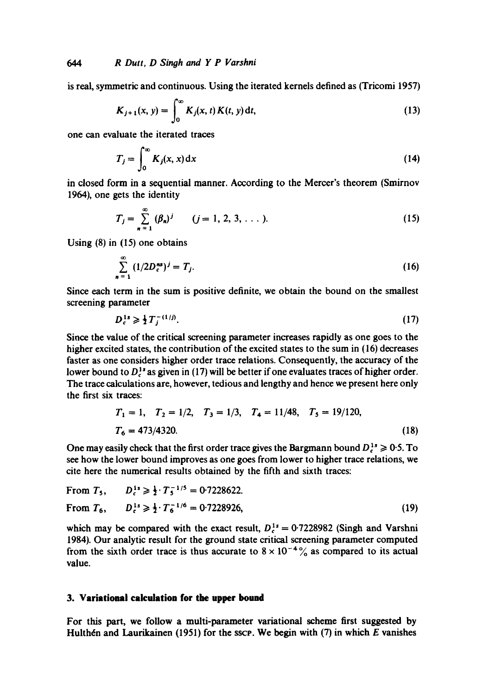is real, symmetric and continuous. Using the iterated kernels defined as (Tricomi 1957)

$$
K_{j+1}(x, y) = \int_0^\infty K_j(x, t) K(t, y) dt,
$$
\n(13)

one can evaluate the iterated traces

$$
T_j = \int_0^\infty K_j(x, x) dx
$$
 (14)

in closed form in a sequential manner. According to the Mercer's theorem (Smirnov 1964), one gets the identity

$$
T_j = \sum_{n=1}^{\infty} (\beta_n)^j \qquad (j = 1, 2, 3, \dots).
$$
 (15)

Using (8) in (15) one obtains

$$
\sum_{n=1}^{\infty} (1/2D_c^{ns})^j = T_j.
$$
 (16)

Since each term in the sum is positive definite, we obtain the bound on the smallest screening parameter

$$
D_c^{1s} \ge \frac{1}{2} T_j^{-(1/j)}.
$$
 (17)

Since the value of the critical screening parameter increases rapidly as one goes to the higher excited states, the contribution of the excited states to the sum in (16) decreases faster as one considers higher order trace relations. Consequently, the accuracy of the lower bound to  $D_c^{1}$  as given in (17) will be better if one evaluates traces of higher order. The trace calculations are, however, tedious and lengthy and hence we present here only the first six traces:

$$
T_1 = 1
$$
,  $T_2 = 1/2$ ,  $T_3 = 1/3$ ,  $T_4 = 11/48$ ,  $T_5 = 19/120$ ,  
 $T_6 = 473/4320$ . (18)

One may easily check that the first order trace gives the Bargmann bound  $D_c^{1s} \ge 0.5$ . To see how the lower bound improves as one goes from lower to higher trace relations, we cite here the numerical results obtained by the fifth and sixth traces:

From 
$$
T_5
$$
,  $D_c^{1s} \ge \frac{1}{2} \cdot T_5^{-1/5} = 0.7228622$ .  
From  $T_6$ ,  $D_c^{1s} \ge \frac{1}{2} \cdot T_6^{-1/6} = 0.7228926$ , (19)

which may be compared with the exact result,  $D_c^{1s} = 0.7228982$  (Singh and Varshni 1984). Our analytic result for the ground state critical screening parameter computed from the sixth order trace is thus accurate to  $8 \times 10^{-4}$ % as compared to its actual value.

### **3. Variational calculation for the upper bound**

For this part, we follow a multi-parameter variational scheme first suggested by Hulthén and Laurikainen (1951) for the sscp. We begin with (7) in which E vanishes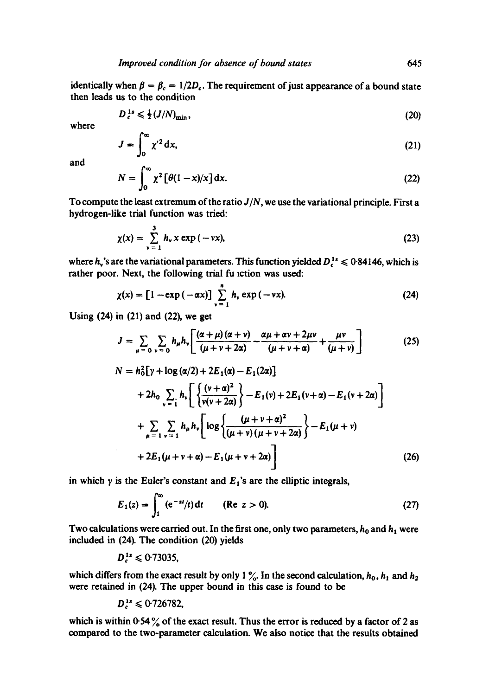identically when  $\beta = \beta_c = 1/2D_c$ . The requirement of just appearance of a bound state then leads us to the condition

$$
D_c^{1s} \leq \frac{1}{2} (J/N)_{\text{min}},\tag{20}
$$

where

$$
J = \int_0^\infty \chi'^2 \, \mathrm{d}x,\tag{21}
$$

and

$$
N = \int_0^\infty \chi^2 \left[ \theta (1 - x) / x \right] dx. \tag{22}
$$

To compute the least extremum of the ratio *J/N,* we use the variational principle. First **a**  hydrogen-like trial function was tried:

$$
\chi(x) = \sum_{v=1}^{3} h_v x \exp(-vx),
$$
 (23)

where  $h_v$ 's are the variational parameters. This function yielded  $D_c^{1s} \leq 0.84146$ , which is rather poor. Next, the following trial fu iction was used:

$$
\chi(x) = \left[1 - \exp\left(-\alpha x\right)\right] \sum_{v=1}^{n} h_v \exp\left(-vx\right). \tag{24}
$$

Using  $(24)$  in  $(21)$  and  $(22)$ , we get

$$
J = \sum_{\mu=0} \sum_{\nu=0} h_{\mu} h_{\nu} \left[ \frac{(\alpha+\mu)(\alpha+\nu)}{(\mu+\nu+2\alpha)} - \frac{\alpha\mu+\alpha\nu+2\mu\nu}{(\mu+\nu+\alpha)} + \frac{\mu\nu}{(\mu+\nu)} \right] \tag{25}
$$

$$
N = h_0^2 \left[ \gamma + \log \left( \alpha/2 \right) + 2E_1(\alpha) - E_1(2\alpha) \right]
$$
  
+  $2h_0 \sum_{\nu=1} h_{\nu} \left[ \left\{ \frac{(\nu + \alpha)^2}{\nu(\nu + 2\alpha)} \right\} - E_1(\nu) + 2E_1(\nu + \alpha) - E_1(\nu + 2\alpha) \right\}$   
+  $\sum_{\mu=1} \sum_{\nu=1} h_{\mu} h_{\nu} \left[ \log \left\{ \frac{(\mu + \nu + \alpha)^2}{(\mu + \nu)(\mu + \nu + 2\alpha)} \right\} - E_1(\mu + \nu) + 2E_1(\mu + \nu + \alpha) - E_1(\mu + \nu + 2\alpha) \right]$  (26)

in which  $\gamma$  is the Euler's constant and  $E_1$ 's are the elliptic integrals,

$$
E_1(z) = \int_1^{\infty} (e^{-zt}/t) dt \qquad (\text{Re } z > 0).
$$
 (27)

Two calculations were carried out. In the first one, only two parameters,  $h_0$  and  $h_1$  were included in (24). The condition (20) yields

 $D_{c}^{14} \leq 0.73035$ ,

which differs from the exact result by only 1%. In the second calculation,  $h_0$ ,  $h_1$  and  $h_2$ were retained in (24). The upper bound in this case is found to be

$$
D_c^{1s}\leqslant 0.726782,
$$

which is within  $0.54\%$  of the exact result. Thus the error is reduced by a factor of 2 as compared to the two-parameter calculation. We also notice that the results obtained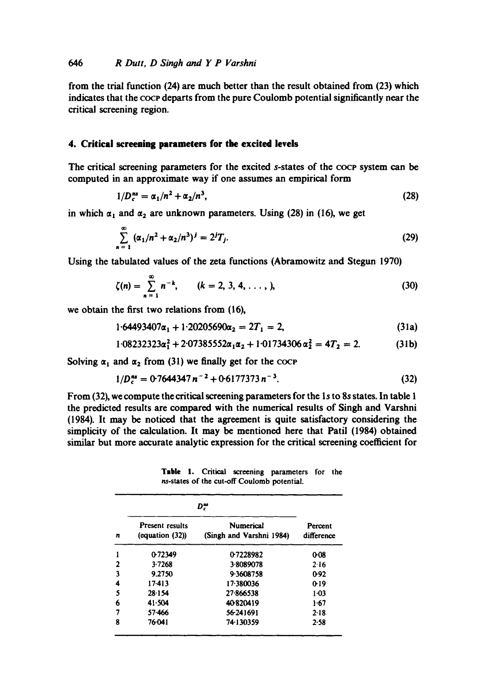from the trial function (24) are much better than the result obtained from (23) which indicates that the ¢ocp departs from the pure Coulomb potential significantly near the critical screening region.

### 4. Critical **screening parameters for** the excited levels

The critical screening parameters for the excited s-states of the cocp system can be computed in an approximate way if one assumes an empirical form

$$
1/D_c^{ns} = \alpha_1/n^2 + \alpha_2/n^3,
$$
 (28)

in which  $\alpha_1$  and  $\alpha_2$  are unknown parameters. Using (28) in (16), we get

$$
\sum_{n=1}^{\infty} (\alpha_1/n^2 + \alpha_2/n^3)^j = 2^j T_j.
$$
 (29)

Using the tabulated values of the zeta functions (Abramowitz and Stegun 1970)

$$
\zeta(n) = \sum_{n=1}^{\infty} n^{-k}, \qquad (k = 2, 3, 4, \ldots),
$$
 (30)

we obtain the first two relations from (16),

$$
1.64493407\alpha_1 + 1.20205690\alpha_2 = 2T_1 = 2,
$$
\n(31a)

$$
1.08232323\alpha_1^2 + 2.07385552\alpha_1\alpha_2 + 1.01734306\alpha_2^2 = 4T_2 = 2.
$$
 (31b)

Solving  $\alpha_1$  and  $\alpha_2$  from (31) we finally get for the cocp

$$
1/D_c^{\rm ns} = 0.7644347 n^{-2} + 0.6177373 n^{-3}.
$$
 (32)

From (32), we compute the critical screening parameters for the Is to 8s states. In table 1 the predicted results are compared with the numerical results of Singh and Varshni (1984). It may be noticed that the agreement is quite satisfactory considering the simplicity of the calculation. It may be mentioned here that Patil (1984) obtained similar but more accurate analytic expression for the critical screening coefficient for

**Table** 1. Critical screening parameters for the ns-states of the cut-off Coulomb potential.

| n | D"                                        |                                       |                       |
|---|-------------------------------------------|---------------------------------------|-----------------------|
|   | <b>Present results</b><br>(equation (32)) | Numerical<br>(Singh and Varshni 1984) | Percent<br>difference |
|   | 0.72349                                   | 0.7228982                             | $0-08$                |
| 2 | 3.7268                                    | 3.8089078                             | 2.16                  |
| 3 | 9.2750                                    | 9.3608758                             | 092                   |
| 4 | 17413                                     | 17-380036                             | $0-19$                |
| 5 | $28 - 154$                                | 27.866538                             | $1-03$                |
| 6 | 41.504                                    | 40820419                              | $1-67$                |
|   | 57-466                                    | 56-241691                             | $2 - 18$              |
| ጸ | 76.041                                    | 74-130359                             | 2.58                  |